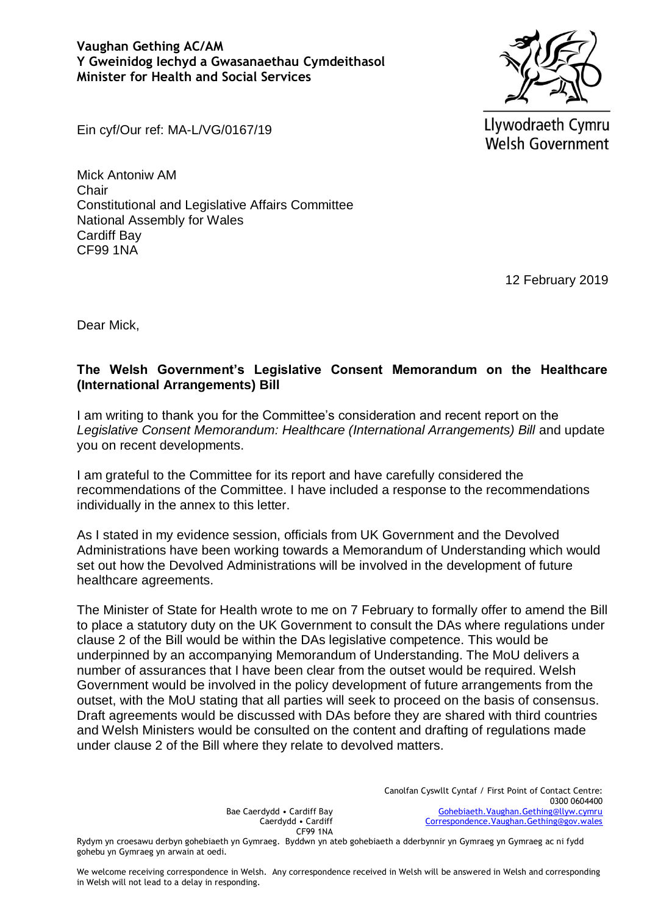

Llywodraeth Cymru **Welsh Government** 

Ein cyf/Our ref: MA-L/VG/0167/19

Mick Antoniw AM **Chair** Constitutional and Legislative Affairs Committee National Assembly for Wales Cardiff Bay CF99 1NA

12 February 2019

Dear Mick,

## **The Welsh Government's Legislative Consent Memorandum on the Healthcare (International Arrangements) Bill**

I am writing to thank you for the Committee's consideration and recent report on the Legislative Consent Memorandum: Healthcare (International Arrangements) Bill and update you on recent developments.

I am grateful to the Committee for its report and have carefully considered the recommendations of the Committee. I have included a response to the recommendations individually in the annex to this letter.

As I stated in my evidence session, officials from UK Government and the Devolved Administrations have been working towards a Memorandum of Understanding which would set out how the Devolved Administrations will be involved in the development of future healthcare agreements.

The Minister of State for Health wrote to me on 7 February to formally offer to amend the Bill to place a statutory duty on the UK Government to consult the DAs where regulations under clause 2 of the Bill would be within the DAs legislative competence. This would be underpinned by an accompanying Memorandum of Understanding. The MoU delivers a number of assurances that I have been clear from the outset would be required. Welsh Government would be involved in the policy development of future arrangements from the outset, with the MoU stating that all parties will seek to proceed on the basis of consensus. Draft agreements would be discussed with DAs before they are shared with third countries and Welsh Ministers would be consulted on the content and drafting of regulations made under clause 2 of the Bill where they relate to devolved matters.

> Canolfan Cyswllt Cyntaf / First Point of Contact Centre: 0300 0604400 [Gohebiaeth.Vaughan.Gething@llyw.cymru](mailto:Gohebiaeth.Vaughan.Gething@llyw.cymru) [Correspondence.Vaughan.Gething@gov.wales](mailto:Correspondence.Vaughan.Gething@gov.wales)

Bae Caerdydd • Cardiff Bay Caerdydd • Cardiff CF99 1NA

Rydym yn croesawu derbyn gohebiaeth yn Gymraeg. Byddwn yn ateb gohebiaeth a dderbynnir yn Gymraeg yn Gymraeg ac ni fydd gohebu yn Gymraeg yn arwain at oedi.

We welcome receiving correspondence in Welsh. Any correspondence received in Welsh will be answered in Welsh and corresponding in Welsh will not lead to a delay in responding.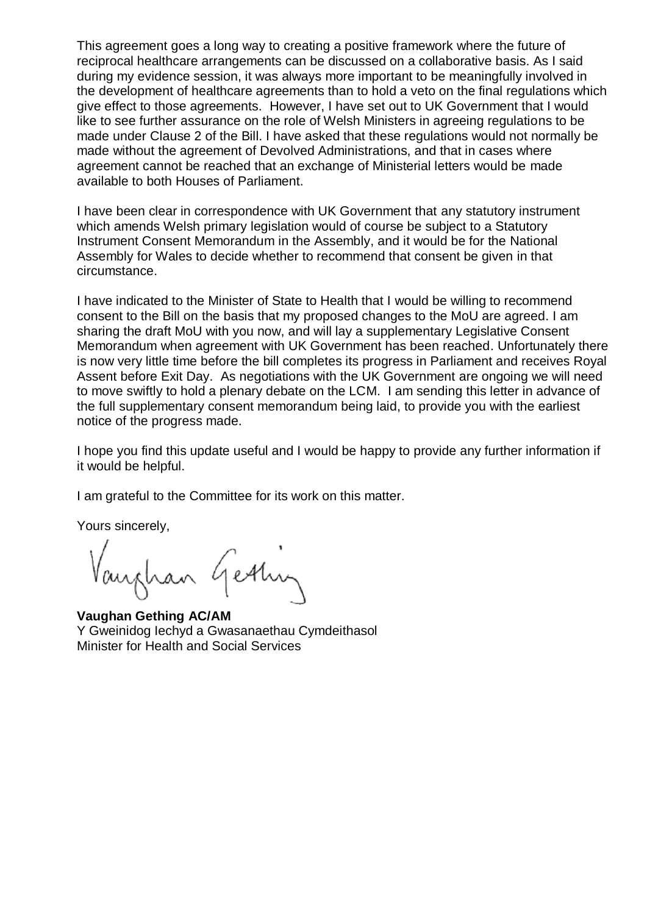This agreement goes a long way to creating a positive framework where the future of reciprocal healthcare arrangements can be discussed on a collaborative basis. As I said during my evidence session, it was always more important to be meaningfully involved in the development of healthcare agreements than to hold a veto on the final regulations which give effect to those agreements. However, I have set out to UK Government that I would like to see further assurance on the role of Welsh Ministers in agreeing regulations to be made under Clause 2 of the Bill. I have asked that these regulations would not normally be made without the agreement of Devolved Administrations, and that in cases where agreement cannot be reached that an exchange of Ministerial letters would be made available to both Houses of Parliament.

I have been clear in correspondence with UK Government that any statutory instrument which amends Welsh primary legislation would of course be subject to a Statutory Instrument Consent Memorandum in the Assembly, and it would be for the National Assembly for Wales to decide whether to recommend that consent be given in that circumstance.

I have indicated to the Minister of State to Health that I would be willing to recommend consent to the Bill on the basis that my proposed changes to the MoU are agreed. I am sharing the draft MoU with you now, and will lay a supplementary Legislative Consent Memorandum when agreement with UK Government has been reached. Unfortunately there is now very little time before the bill completes its progress in Parliament and receives Royal Assent before Exit Day. As negotiations with the UK Government are ongoing we will need to move swiftly to hold a plenary debate on the LCM. I am sending this letter in advance of the full supplementary consent memorandum being laid, to provide you with the earliest notice of the progress made.

I hope you find this update useful and I would be happy to provide any further information if it would be helpful.

I am grateful to the Committee for its work on this matter.

Yours sincerely,

Vanghan Gestin

**Vaughan Gething AC/AM** Y Gweinidog Iechyd a Gwasanaethau Cymdeithasol Minister for Health and Social Services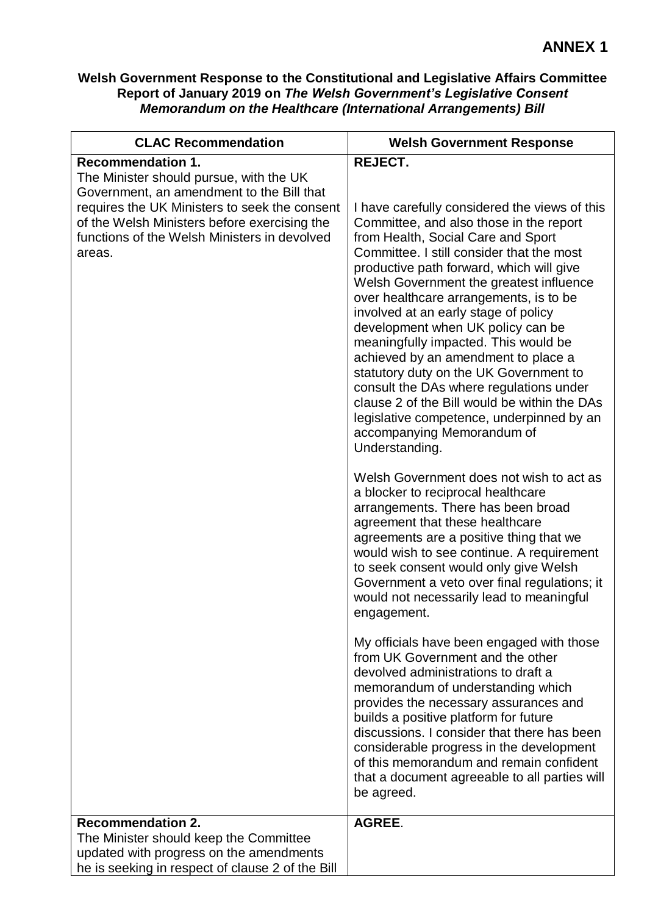## **Welsh Government Response to the Constitutional and Legislative Affairs Committee Report of January 2019 on** *The Welsh Government's Legislative Consent Memorandum on the Healthcare (International Arrangements) Bill*

| <b>CLAC Recommendation</b>                                                                                                                                                                                                                                                  | <b>Welsh Government Response</b>                                                                                                                                                                                                                                                                                                                                                                                                                                                                                                                                                                                                                                                                                                                                  |
|-----------------------------------------------------------------------------------------------------------------------------------------------------------------------------------------------------------------------------------------------------------------------------|-------------------------------------------------------------------------------------------------------------------------------------------------------------------------------------------------------------------------------------------------------------------------------------------------------------------------------------------------------------------------------------------------------------------------------------------------------------------------------------------------------------------------------------------------------------------------------------------------------------------------------------------------------------------------------------------------------------------------------------------------------------------|
| <b>Recommendation 1.</b><br>The Minister should pursue, with the UK<br>Government, an amendment to the Bill that<br>requires the UK Ministers to seek the consent<br>of the Welsh Ministers before exercising the<br>functions of the Welsh Ministers in devolved<br>areas. | REJECT.<br>I have carefully considered the views of this<br>Committee, and also those in the report<br>from Health, Social Care and Sport<br>Committee. I still consider that the most<br>productive path forward, which will give<br>Welsh Government the greatest influence<br>over healthcare arrangements, is to be<br>involved at an early stage of policy<br>development when UK policy can be<br>meaningfully impacted. This would be<br>achieved by an amendment to place a<br>statutory duty on the UK Government to<br>consult the DAs where regulations under<br>clause 2 of the Bill would be within the DAs<br>legislative competence, underpinned by an<br>accompanying Memorandum of<br>Understanding.<br>Welsh Government does not wish to act as |
|                                                                                                                                                                                                                                                                             | a blocker to reciprocal healthcare<br>arrangements. There has been broad<br>agreement that these healthcare<br>agreements are a positive thing that we<br>would wish to see continue. A requirement<br>to seek consent would only give Welsh<br>Government a veto over final regulations; it<br>would not necessarily lead to meaningful<br>engagement.                                                                                                                                                                                                                                                                                                                                                                                                           |
|                                                                                                                                                                                                                                                                             | My officials have been engaged with those<br>from UK Government and the other<br>devolved administrations to draft a<br>memorandum of understanding which<br>provides the necessary assurances and<br>builds a positive platform for future<br>discussions. I consider that there has been<br>considerable progress in the development<br>of this memorandum and remain confident<br>that a document agreeable to all parties will<br>be agreed.                                                                                                                                                                                                                                                                                                                  |
| <b>Recommendation 2.</b><br>The Minister should keep the Committee                                                                                                                                                                                                          | <b>AGREE.</b>                                                                                                                                                                                                                                                                                                                                                                                                                                                                                                                                                                                                                                                                                                                                                     |
| updated with progress on the amendments                                                                                                                                                                                                                                     |                                                                                                                                                                                                                                                                                                                                                                                                                                                                                                                                                                                                                                                                                                                                                                   |
| he is seeking in respect of clause 2 of the Bill                                                                                                                                                                                                                            |                                                                                                                                                                                                                                                                                                                                                                                                                                                                                                                                                                                                                                                                                                                                                                   |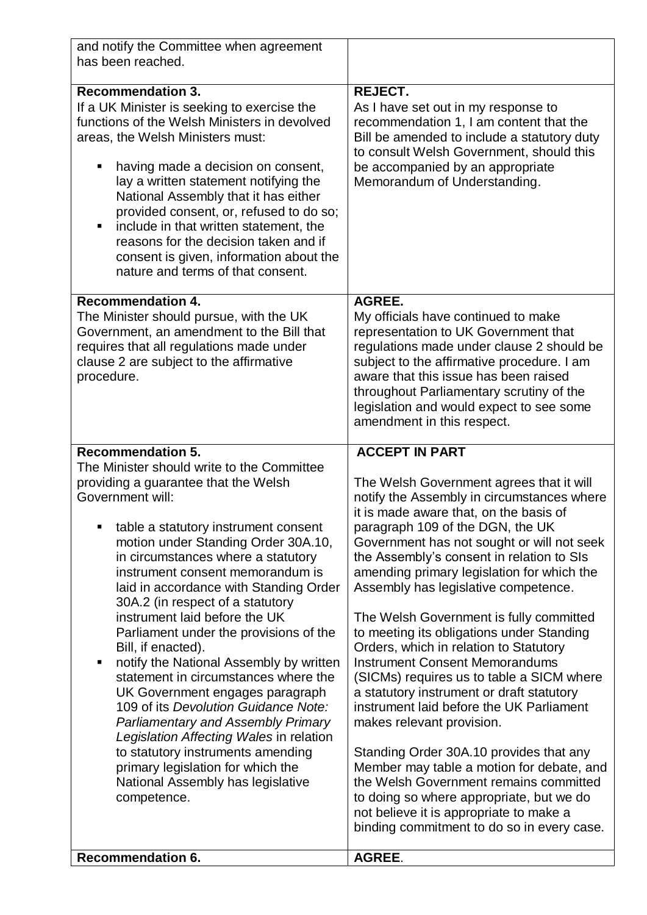| and notify the Committee when agreement<br>has been reached.                                                                                                                                                                                                                                                                                                                                                                                                                                                                                                                                                                                                                                                                                                                                                             |                                                                                                                                                                                                                                                                                                                                                                                                                                                                                                                                                                                                                                                                                                                                                                                                                                       |
|--------------------------------------------------------------------------------------------------------------------------------------------------------------------------------------------------------------------------------------------------------------------------------------------------------------------------------------------------------------------------------------------------------------------------------------------------------------------------------------------------------------------------------------------------------------------------------------------------------------------------------------------------------------------------------------------------------------------------------------------------------------------------------------------------------------------------|---------------------------------------------------------------------------------------------------------------------------------------------------------------------------------------------------------------------------------------------------------------------------------------------------------------------------------------------------------------------------------------------------------------------------------------------------------------------------------------------------------------------------------------------------------------------------------------------------------------------------------------------------------------------------------------------------------------------------------------------------------------------------------------------------------------------------------------|
| <b>Recommendation 3.</b><br>If a UK Minister is seeking to exercise the<br>functions of the Welsh Ministers in devolved<br>areas, the Welsh Ministers must:<br>having made a decision on consent,<br>٠<br>lay a written statement notifying the<br>National Assembly that it has either<br>provided consent, or, refused to do so;<br>include in that written statement, the<br>reasons for the decision taken and if<br>consent is given, information about the<br>nature and terms of that consent.                                                                                                                                                                                                                                                                                                                    | REJECT.<br>As I have set out in my response to<br>recommendation 1, I am content that the<br>Bill be amended to include a statutory duty<br>to consult Welsh Government, should this<br>be accompanied by an appropriate<br>Memorandum of Understanding.                                                                                                                                                                                                                                                                                                                                                                                                                                                                                                                                                                              |
| <b>Recommendation 4.</b><br>The Minister should pursue, with the UK<br>Government, an amendment to the Bill that<br>requires that all regulations made under<br>clause 2 are subject to the affirmative<br>procedure.                                                                                                                                                                                                                                                                                                                                                                                                                                                                                                                                                                                                    | <b>AGREE.</b><br>My officials have continued to make<br>representation to UK Government that<br>regulations made under clause 2 should be<br>subject to the affirmative procedure. I am<br>aware that this issue has been raised<br>throughout Parliamentary scrutiny of the<br>legislation and would expect to see some<br>amendment in this respect.                                                                                                                                                                                                                                                                                                                                                                                                                                                                                |
| <b>Recommendation 5.</b>                                                                                                                                                                                                                                                                                                                                                                                                                                                                                                                                                                                                                                                                                                                                                                                                 | <b>ACCEPT IN PART</b>                                                                                                                                                                                                                                                                                                                                                                                                                                                                                                                                                                                                                                                                                                                                                                                                                 |
| The Minister should write to the Committee<br>providing a guarantee that the Welsh<br>Government will:<br>table a statutory instrument consent<br>motion under Standing Order 30A.10,<br>in circumstances where a statutory<br>instrument consent memorandum is<br>laid in accordance with Standing Order<br>30A.2 (in respect of a statutory<br>instrument laid before the UK<br>Parliament under the provisions of the<br>Bill, if enacted).<br>notify the National Assembly by written<br>٠<br>statement in circumstances where the<br>UK Government engages paragraph<br>109 of its Devolution Guidance Note:<br><b>Parliamentary and Assembly Primary</b><br>Legislation Affecting Wales in relation<br>to statutory instruments amending<br>primary legislation for which the<br>National Assembly has legislative | The Welsh Government agrees that it will<br>notify the Assembly in circumstances where<br>it is made aware that, on the basis of<br>paragraph 109 of the DGN, the UK<br>Government has not sought or will not seek<br>the Assembly's consent in relation to SIs<br>amending primary legislation for which the<br>Assembly has legislative competence.<br>The Welsh Government is fully committed<br>to meeting its obligations under Standing<br>Orders, which in relation to Statutory<br><b>Instrument Consent Memorandums</b><br>(SICMs) requires us to table a SICM where<br>a statutory instrument or draft statutory<br>instrument laid before the UK Parliament<br>makes relevant provision.<br>Standing Order 30A.10 provides that any<br>Member may table a motion for debate, and<br>the Welsh Government remains committed |
| competence.                                                                                                                                                                                                                                                                                                                                                                                                                                                                                                                                                                                                                                                                                                                                                                                                              | to doing so where appropriate, but we do<br>not believe it is appropriate to make a<br>binding commitment to do so in every case.                                                                                                                                                                                                                                                                                                                                                                                                                                                                                                                                                                                                                                                                                                     |
| <b>Recommendation 6.</b>                                                                                                                                                                                                                                                                                                                                                                                                                                                                                                                                                                                                                                                                                                                                                                                                 | <b>AGREE.</b>                                                                                                                                                                                                                                                                                                                                                                                                                                                                                                                                                                                                                                                                                                                                                                                                                         |